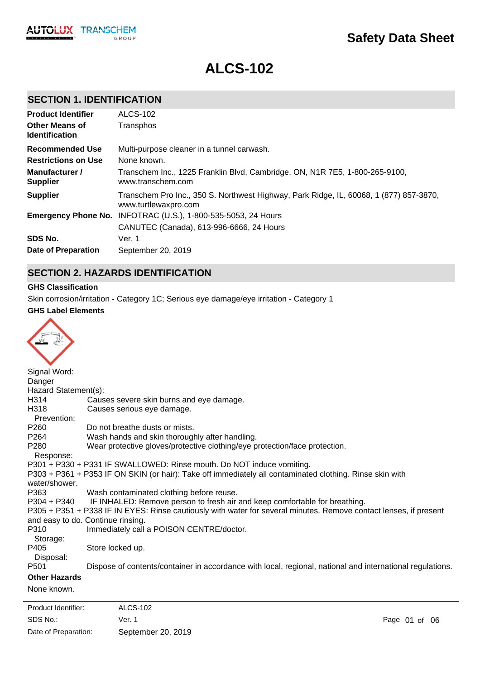# **ALCS-102**

### **SECTION 1. IDENTIFICATION**

| <b>Product Identifier</b>                      | ALCS-102                                                                                                       |
|------------------------------------------------|----------------------------------------------------------------------------------------------------------------|
| <b>Other Means of</b><br><b>Identification</b> | Transphos                                                                                                      |
| Recommended Use                                | Multi-purpose cleaner in a tunnel carwash.                                                                     |
| <b>Restrictions on Use</b>                     | None known.                                                                                                    |
| Manufacturer /<br><b>Supplier</b>              | Transchem Inc., 1225 Franklin Blvd, Cambridge, ON, N1R 7E5, 1-800-265-9100,<br>www.transchem.com               |
| <b>Supplier</b>                                | Transchem Pro Inc., 350 S. Northwest Highway, Park Ridge, IL, 60068, 1 (877) 857-3870,<br>www.turtlewaxpro.com |
| <b>Emergency Phone No.</b>                     | INFOTRAC (U.S.), 1-800-535-5053, 24 Hours                                                                      |
|                                                | CANUTEC (Canada), 613-996-6666, 24 Hours                                                                       |
| SDS No.                                        | Ver. 1                                                                                                         |
| Date of Preparation                            | September 20, 2019                                                                                             |

### **SECTION 2. HAZARDS IDENTIFICATION**

#### **GHS Classification**

Skin corrosion/irritation - Category 1C; Serious eye damage/eye irritation - Category 1

#### **GHS Label Elements**

| Signal Word:         |                                                                                                                   |
|----------------------|-------------------------------------------------------------------------------------------------------------------|
| Danger               |                                                                                                                   |
| Hazard Statement(s): |                                                                                                                   |
| H314                 | Causes severe skin burns and eye damage.                                                                          |
| H318                 | Causes serious eye damage.                                                                                        |
| Prevention:          |                                                                                                                   |
| P <sub>260</sub>     | Do not breathe dusts or mists.                                                                                    |
| P <sub>264</sub>     | Wash hands and skin thoroughly after handling.                                                                    |
| P280                 | Wear protective gloves/protective clothing/eye protection/face protection.                                        |
| Response:            |                                                                                                                   |
|                      | P301 + P330 + P331 IF SWALLOWED: Rinse mouth. Do NOT induce vomiting.                                             |
| water/shower.        | P303 + P361 + P353 IF ON SKIN (or hair): Take off immediately all contaminated clothing. Rinse skin with          |
| P363                 | Wash contaminated clothing before reuse.                                                                          |
| P304 + P340          | IF INHALED: Remove person to fresh air and keep comfortable for breathing.                                        |
|                      | P305 + P351 + P338 IF IN EYES: Rinse cautiously with water for several minutes. Remove contact lenses, if present |
|                      | and easy to do. Continue rinsing.                                                                                 |
| P310                 | Immediately call a POISON CENTRE/doctor.                                                                          |
| Storage:             |                                                                                                                   |
| P405                 | Store locked up.                                                                                                  |
| Disposal:            |                                                                                                                   |
| P <sub>501</sub>     | Dispose of contents/container in accordance with local, regional, national and international regulations.         |
| <b>Other Hazards</b> |                                                                                                                   |
| None known.          |                                                                                                                   |
|                      |                                                                                                                   |

SDS No.: Date of Preparation: Ver. 1 Page 01 of 06 September 20, 2019 Product Identifier: ALCS-102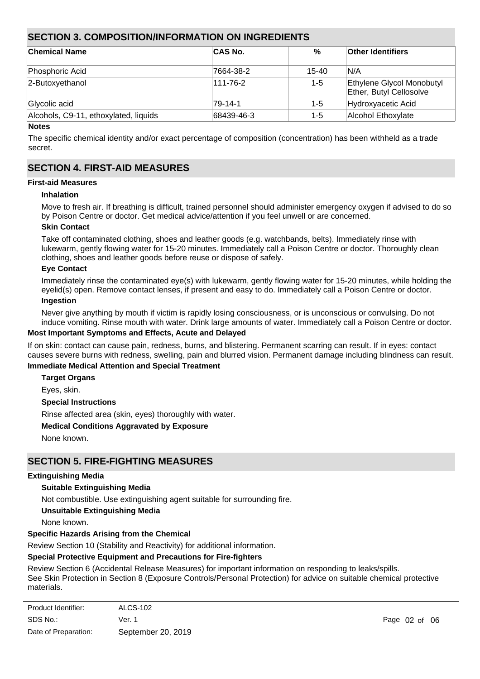### **SECTION 3. COMPOSITION/INFORMATION ON INGREDIENTS**

| <b>Chemical Name</b>                  | <b>CAS No.</b> | %       | <b>Other Identifiers</b>                             |
|---------------------------------------|----------------|---------|------------------------------------------------------|
| Phosphoric Acid                       | 7664-38-2      | 15-40   | IN/A                                                 |
| 2-Butoxyethanol                       | 111-76-2       | $1 - 5$ | Ethylene Glycol Monobutyl<br>Ether, Butyl Cellosolve |
| Glycolic acid                         | 79-14-1        | 1-5     | Hydroxyacetic Acid                                   |
| Alcohols, C9-11, ethoxylated, liquids | 68439-46-3     | $1 - 5$ | Alcohol Ethoxylate                                   |

#### **Notes**

The specific chemical identity and/or exact percentage of composition (concentration) has been withheld as a trade secret.

### **SECTION 4. FIRST-AID MEASURES**

#### **First-aid Measures**

#### **Inhalation**

Move to fresh air. If breathing is difficult, trained personnel should administer emergency oxygen if advised to do so by Poison Centre or doctor. Get medical advice/attention if you feel unwell or are concerned.

#### **Skin Contact**

Take off contaminated clothing, shoes and leather goods (e.g. watchbands, belts). Immediately rinse with lukewarm, gently flowing water for 15-20 minutes. Immediately call a Poison Centre or doctor. Thoroughly clean clothing, shoes and leather goods before reuse or dispose of safely.

#### **Eye Contact**

Immediately rinse the contaminated eye(s) with lukewarm, gently flowing water for 15-20 minutes, while holding the eyelid(s) open. Remove contact lenses, if present and easy to do. Immediately call a Poison Centre or doctor. **Ingestion**

Never give anything by mouth if victim is rapidly losing consciousness, or is unconscious or convulsing. Do not induce vomiting. Rinse mouth with water. Drink large amounts of water. Immediately call a Poison Centre or doctor.

#### **Most Important Symptoms and Effects, Acute and Delayed**

If on skin: contact can cause pain, redness, burns, and blistering. Permanent scarring can result. If in eyes: contact causes severe burns with redness, swelling, pain and blurred vision. Permanent damage including blindness can result.

#### **Immediate Medical Attention and Special Treatment**

**Target Organs**

Eyes, skin.

#### **Special Instructions**

Rinse affected area (skin, eyes) thoroughly with water.

#### **Medical Conditions Aggravated by Exposure**

None known.

### **SECTION 5. FIRE-FIGHTING MEASURES**

#### **Extinguishing Media**

#### **Suitable Extinguishing Media**

Not combustible. Use extinguishing agent suitable for surrounding fire.

#### **Unsuitable Extinguishing Media**

None known.

#### **Specific Hazards Arising from the Chemical**

Review Section 10 (Stability and Reactivity) for additional information.

#### **Special Protective Equipment and Precautions for Fire-fighters**

Review Section 6 (Accidental Release Measures) for important information on responding to leaks/spills. See Skin Protection in Section 8 (Exposure Controls/Personal Protection) for advice on suitable chemical protective materials.

| Product Identifier:  | <b>ALCS-102</b>    |
|----------------------|--------------------|
| SDS No.:             | Ver. 1             |
| Date of Preparation: | September 20, 2019 |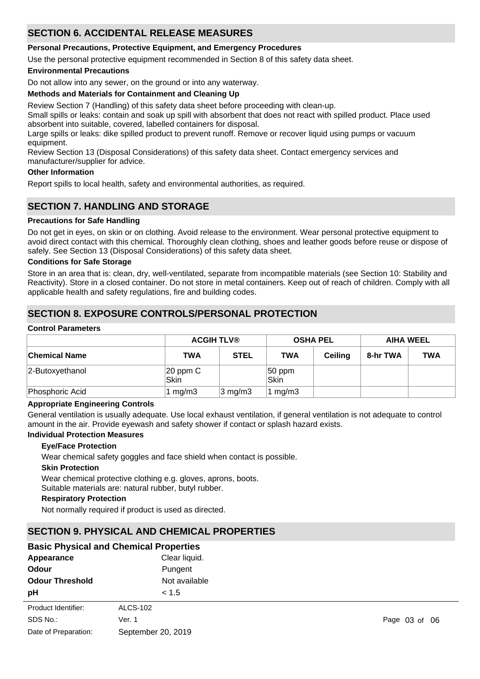### **SECTION 6. ACCIDENTAL RELEASE MEASURES**

#### **Personal Precautions, Protective Equipment, and Emergency Procedures**

Use the personal protective equipment recommended in Section 8 of this safety data sheet.

#### **Environmental Precautions**

Do not allow into any sewer, on the ground or into any waterway.

#### **Methods and Materials for Containment and Cleaning Up**

Review Section 7 (Handling) of this safety data sheet before proceeding with clean-up.

Small spills or leaks: contain and soak up spill with absorbent that does not react with spilled product. Place used absorbent into suitable, covered, labelled containers for disposal.

Large spills or leaks: dike spilled product to prevent runoff. Remove or recover liquid using pumps or vacuum equipment.

Review Section 13 (Disposal Considerations) of this safety data sheet. Contact emergency services and manufacturer/supplier for advice.

#### **Other Information**

Report spills to local health, safety and environmental authorities, as required.

### **SECTION 7. HANDLING AND STORAGE**

#### **Precautions for Safe Handling**

Do not get in eyes, on skin or on clothing. Avoid release to the environment. Wear personal protective equipment to avoid direct contact with this chemical. Thoroughly clean clothing, shoes and leather goods before reuse or dispose of safely. See Section 13 (Disposal Considerations) of this safety data sheet.

#### **Conditions for Safe Storage**

Store in an area that is: clean, dry, well-ventilated, separate from incompatible materials (see Section 10: Stability and Reactivity). Store in a closed container. Do not store in metal containers. Keep out of reach of children. Comply with all applicable health and safety regulations, fire and building codes.

### **SECTION 8. EXPOSURE CONTROLS/PERSONAL PROTECTION**

#### **Control Parameters**

|                      |                       | <b>ACGIH TLV®</b> |                | <b>OSHA PEL</b> |          | <b>AIHA WEEL</b> |  |
|----------------------|-----------------------|-------------------|----------------|-----------------|----------|------------------|--|
| <b>Chemical Name</b> | TWA                   | <b>STEL</b>       | <b>TWA</b>     | <b>Ceiling</b>  | 8-hr TWA | <b>TWA</b>       |  |
| 2-Butoxyethanol      | $ 20$ ppm $C$<br>Skin |                   | 50 ppm<br>Skin |                 |          |                  |  |
| Phosphoric Acid      | 1 mg/m $3$            | $ 3 \text{ mg/m}$ | mg/m3          |                 |          |                  |  |

#### **Appropriate Engineering Controls**

General ventilation is usually adequate. Use local exhaust ventilation, if general ventilation is not adequate to control amount in the air. Provide eyewash and safety shower if contact or splash hazard exists.

#### **Individual Protection Measures**

#### **Eye/Face Protection**

Wear chemical safety goggles and face shield when contact is possible.

#### **Skin Protection**

Wear chemical protective clothing e.g. gloves, aprons, boots. Suitable materials are: natural rubber, butyl rubber.

#### **Respiratory Protection**

Not normally required if product is used as directed.

### **SECTION 9. PHYSICAL AND CHEMICAL PROPERTIES**

| <b>Basic Physical and Chemical Properties</b> |                    |  |  |
|-----------------------------------------------|--------------------|--|--|
| Appearance                                    | Clear liquid.      |  |  |
| Odour                                         | Pungent            |  |  |
| <b>Odour Threshold</b>                        | Not available      |  |  |
| рH                                            | < 1.5              |  |  |
| Product Identifier:                           | <b>ALCS-102</b>    |  |  |
| SDS No.:                                      | Ver. 1             |  |  |
| Date of Preparation:                          | September 20, 2019 |  |  |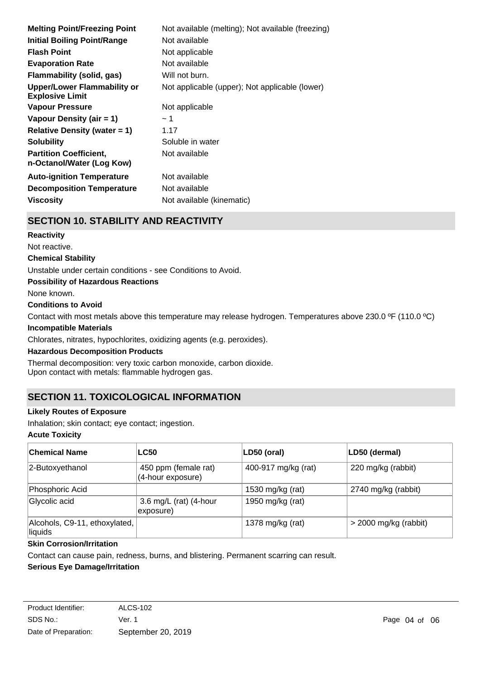| <b>Melting Point/Freezing Point</b>                        | Not available (melting); Not available (freezing) |
|------------------------------------------------------------|---------------------------------------------------|
| <b>Initial Boiling Point/Range</b>                         | Not available                                     |
| <b>Flash Point</b>                                         | Not applicable                                    |
| <b>Evaporation Rate</b>                                    | Not available                                     |
| <b>Flammability (solid, gas)</b>                           | Will not burn.                                    |
| Upper/Lower Flammability or<br><b>Explosive Limit</b>      | Not applicable (upper); Not applicable (lower)    |
| Vapour Pressure                                            | Not applicable                                    |
| Vapour Density (air $= 1$ )                                | ∼ 1                                               |
| <b>Relative Density (water = 1)</b>                        | 1.17                                              |
| <b>Solubility</b>                                          | Soluble in water                                  |
| <b>Partition Coefficient.</b><br>n-Octanol/Water (Log Kow) | Not available                                     |
| <b>Auto-ignition Temperature</b>                           | Not available                                     |
| <b>Decomposition Temperature</b>                           | Not available                                     |
| <b>Viscosity</b>                                           | Not available (kinematic)                         |
|                                                            |                                                   |

### **SECTION 10. STABILITY AND REACTIVITY**

#### **Reactivity**

Not reactive.

#### **Chemical Stability**

Unstable under certain conditions - see Conditions to Avoid.

**Possibility of Hazardous Reactions**

None known.

#### **Conditions to Avoid**

Contact with most metals above this temperature may release hydrogen. Temperatures above 230.0 ºF (110.0 ºC)

#### **Incompatible Materials**

Chlorates, nitrates, hypochlorites, oxidizing agents (e.g. peroxides).

#### **Hazardous Decomposition Products**

Thermal decomposition: very toxic carbon monoxide, carbon dioxide. Upon contact with metals: flammable hydrogen gas.

## **SECTION 11. TOXICOLOGICAL INFORMATION**

#### **Likely Routes of Exposure**

Inhalation; skin contact; eye contact; ingestion.

#### **Acute Toxicity**

| <b>Chemical Name</b>                     | <b>LC50</b>                               | LD50 (oral)         | LD50 (dermal)           |
|------------------------------------------|-------------------------------------------|---------------------|-------------------------|
| 2-Butoxyethanol                          | 450 ppm (female rat)<br>(4-hour exposure) | 400-917 mg/kg (rat) | 220 mg/kg (rabbit)      |
| Phosphoric Acid                          |                                           | 1530 mg/kg (rat)    | 2740 mg/kg (rabbit)     |
| Glycolic acid                            | 3.6 mg/L (rat) (4-hour<br>exposure)       | 1950 mg/kg (rat)    |                         |
| Alcohols, C9-11, ethoxylated,<br>liquids |                                           | 1378 mg/kg (rat)    | $>$ 2000 mg/kg (rabbit) |

### **Skin Corrosion/Irritation**

Contact can cause pain, redness, burns, and blistering. Permanent scarring can result.

#### **Serious Eye Damage/Irritation**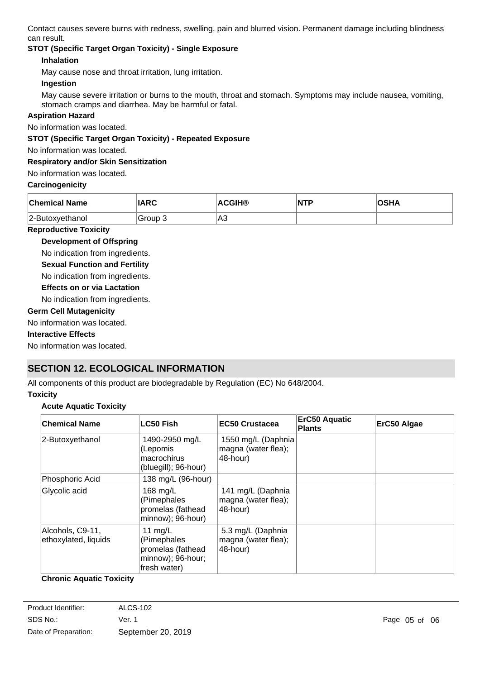Contact causes severe burns with redness, swelling, pain and blurred vision. Permanent damage including blindness can result.

### **STOT (Specific Target Organ Toxicity) - Single Exposure**

#### **Inhalation**

May cause nose and throat irritation, lung irritation.

#### **Ingestion**

May cause severe irritation or burns to the mouth, throat and stomach. Symptoms may include nausea, vomiting, stomach cramps and diarrhea. May be harmful or fatal.

#### **Aspiration Hazard**

No information was located.

**STOT (Specific Target Organ Toxicity) - Repeated Exposure**

No information was located.

#### **Respiratory and/or Skin Sensitization**

No information was located.

#### **Carcinogenicity**

| <b>Chemical Name</b> | <b>IARC</b> | <b>ACGIH®</b> | NTP | <b>OSHA</b> |
|----------------------|-------------|---------------|-----|-------------|
| 2-Butoxyethanol      | Group 3     | A3            |     |             |

#### **Reproductive Toxicity**

**Development of Offspring**

No indication from ingredients.

**Sexual Function and Fertility**

No indication from ingredients.

#### **Effects on or via Lactation**

No indication from ingredients.

**Germ Cell Mutagenicity**

#### No information was located.

#### **Interactive Effects**

No information was located.

## **SECTION 12. ECOLOGICAL INFORMATION**

All components of this product are biodegradable by Regulation (EC) No 648/2004.

#### **Toxicity**

#### **Acute Aquatic Toxicity**

| <b>Chemical Name</b>                     | <b>LC50 Fish</b>                                                                   | EC50 Crustacea                                           | <b>ErC50 Aquatic</b><br><b>Plants</b> | ErC50 Algae |
|------------------------------------------|------------------------------------------------------------------------------------|----------------------------------------------------------|---------------------------------------|-------------|
| 2-Butoxyethanol                          | 1490-2950 mg/L<br>(Lepomis<br>macrochirus<br>(bluegill); 96-hour)                  | 1550 mg/L (Daphnia<br>magna (water flea);<br>48-hour)    |                                       |             |
| Phosphoric Acid                          | 138 mg/L (96-hour)                                                                 |                                                          |                                       |             |
| Glycolic acid                            | 168 mg/L<br>(Pimephales<br>promelas (fathead<br>minnow); 96-hour)                  | 141 mg/L (Daphnia<br>magna (water flea);<br>48-hour)     |                                       |             |
| Alcohols, C9-11,<br>ethoxylated, liquids | 11 $mg/L$<br>(Pimephales<br>promelas (fathead<br>minnow); 96-hour;<br>fresh water) | 5.3 mg/L (Daphnia<br>magna (water flea);<br>$ 48$ -hour) |                                       |             |

#### **Chronic Aquatic Toxicity**